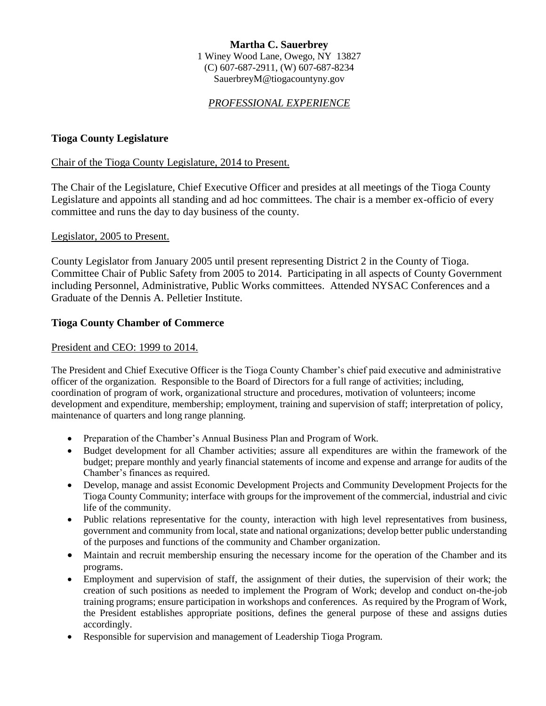### **Martha C. Sauerbrey** 1 Winey Wood Lane, Owego, NY 13827 (C) 607-687-2911, (W) 607-687-8234 SauerbreyM@tiogacountyny.gov

## *PROFESSIONAL EXPERIENCE*

### **Tioga County Legislature**

#### Chair of the Tioga County Legislature, 2014 to Present.

The Chair of the Legislature, Chief Executive Officer and presides at all meetings of the Tioga County Legislature and appoints all standing and ad hoc committees. The chair is a member ex-officio of every committee and runs the day to day business of the county.

#### Legislator, 2005 to Present.

County Legislator from January 2005 until present representing District 2 in the County of Tioga. Committee Chair of Public Safety from 2005 to 2014. Participating in all aspects of County Government including Personnel, Administrative, Public Works committees. Attended NYSAC Conferences and a Graduate of the Dennis A. Pelletier Institute.

#### **Tioga County Chamber of Commerce**

#### President and CEO: 1999 to 2014.

The President and Chief Executive Officer is the Tioga County Chamber's chief paid executive and administrative officer of the organization. Responsible to the Board of Directors for a full range of activities; including, coordination of program of work, organizational structure and procedures, motivation of volunteers; income development and expenditure, membership; employment, training and supervision of staff; interpretation of policy, maintenance of quarters and long range planning.

- Preparation of the Chamber's Annual Business Plan and Program of Work.
- Budget development for all Chamber activities; assure all expenditures are within the framework of the budget; prepare monthly and yearly financial statements of income and expense and arrange for audits of the Chamber's finances as required.
- Develop, manage and assist Economic Development Projects and Community Development Projects for the Tioga County Community; interface with groups for the improvement of the commercial, industrial and civic life of the community.
- Public relations representative for the county, interaction with high level representatives from business, government and community from local, state and national organizations; develop better public understanding of the purposes and functions of the community and Chamber organization.
- Maintain and recruit membership ensuring the necessary income for the operation of the Chamber and its programs.
- Employment and supervision of staff, the assignment of their duties, the supervision of their work; the creation of such positions as needed to implement the Program of Work; develop and conduct on-the-job training programs; ensure participation in workshops and conferences. As required by the Program of Work, the President establishes appropriate positions, defines the general purpose of these and assigns duties accordingly.
- Responsible for supervision and management of Leadership Tioga Program.